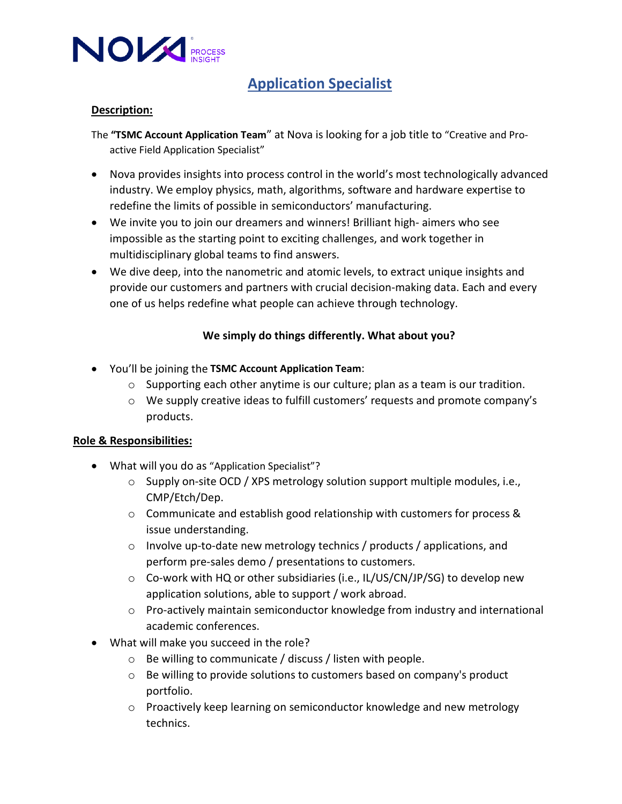

### **Application Specialist**

### **Description:**

The **"TSMC Account Application Team**" at Nova is looking for a job title to "Creative and Proactive Field Application Specialist"

- Nova provides insights into process control in the world's most technologically advanced industry. We employ physics, math, algorithms, software and hardware expertise to redefine the limits of possible in semiconductors' manufacturing.
- We invite you to join our dreamers and winners! Brilliant high- aimers who see impossible as the starting point to exciting challenges, and work together in multidisciplinary global teams to find answers.
- We dive deep, into the nanometric and atomic levels, to extract unique insights and provide our customers and partners with crucial decision-making data. Each and every one of us helps redefine what people can achieve through technology.

### **We simply do things differently. What about you?**

- You'll be joining the **TSMC Account Application Team**:
	- o Supporting each other anytime is our culture; plan as a team is our tradition.
	- o We supply creative ideas to fulfill customers' requests and promote company's products.

### **Role & Responsibilities:**

- What will you do as "Application Specialist"?
	- $\circ$  Supply on-site OCD / XPS metrology solution support multiple modules, i.e., CMP/Etch/Dep.
	- o Communicate and establish good relationship with customers for process & issue understanding.
	- o Involve up-to-date new metrology technics / products / applications, and perform pre-sales demo / presentations to customers.
	- $\circ$  Co-work with HQ or other subsidiaries (i.e., IL/US/CN/JP/SG) to develop new application solutions, able to support / work abroad.
	- o Pro-actively maintain semiconductor knowledge from industry and international academic conferences.
- What will make you succeed in the role?
	- o Be willing to communicate / discuss / listen with people.
	- o Be willing to provide solutions to customers based on company's product portfolio.
	- o Proactively keep learning on semiconductor knowledge and new metrology technics.